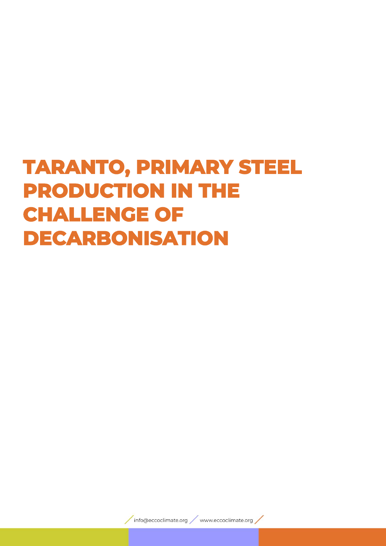# **TARANTO, PRIMARY STEEL PRODUCTION IN THE CHALLENGE OF DECARBONISATION**

info@eccoclimate.org / www.eccoclimate.org /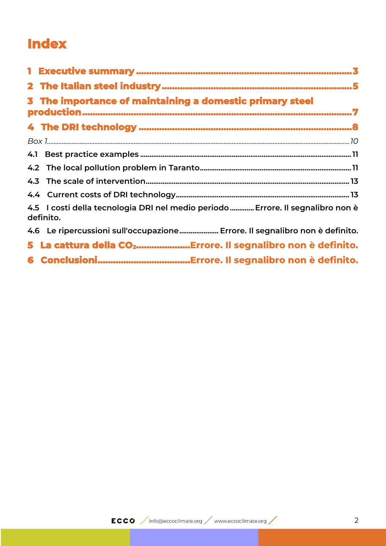# **Index**

| 3 The importance of maintaining a domestic primary steel                                     |  |  |  |  |
|----------------------------------------------------------------------------------------------|--|--|--|--|
|                                                                                              |  |  |  |  |
|                                                                                              |  |  |  |  |
|                                                                                              |  |  |  |  |
|                                                                                              |  |  |  |  |
|                                                                                              |  |  |  |  |
|                                                                                              |  |  |  |  |
| 4.5 I costi della tecnologia DRI nel medio periodo  Errore. Il segnalibro non è<br>definito. |  |  |  |  |
| 4.6 Le ripercussioni sull'occupazione Errore. Il segnalibro non è definito.                  |  |  |  |  |
| 5 La cattura della CO <sub>2</sub> , Errore. Il segnalibro non è definito.                   |  |  |  |  |
|                                                                                              |  |  |  |  |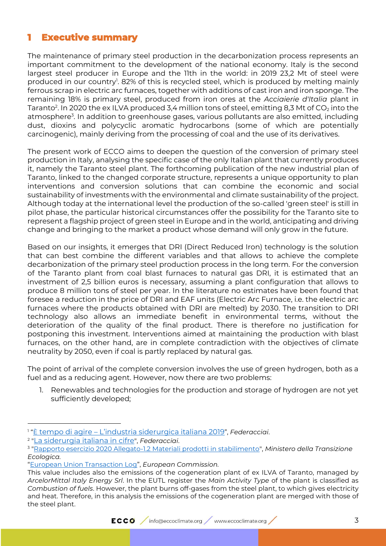## <span id="page-2-0"></span>**1 Executive summary**

The maintenance of primary steel production in the decarbonization process represents an important commitment to the development of the national economy. Italy is the second largest steel producer in Europe and the 11th in the world: in 2019 23,2 Mt of steel were produced in our country<sup>1</sup>. 82% of this is recycled steel, which is produced by melting mainly ferrous scrap in electric arc furnaces, together with additions of cast iron and iron sponge. The remaining 18% is primary steel, produced from iron ores at the *Acciaierie d'Italia* plant in Taranto<sup>2</sup>. In 2020 the ex ILVA produced 3,4 million tons of steel, emitting 8,3 Mt of CO<sub>2</sub> into the atmosphere<sup>3</sup>. In addition to greenhouse gases, various pollutants are also emitted, including dust, dioxins and polycyclic aromatic hydrocarbons (some of which are potentially carcinogenic), mainly deriving from the processing of coal and the use of its derivatives.

The present work of ECCO aims to deepen the question of the conversion of primary steel production in Italy, analysing the specific case of the only Italian plant that currently produces it, namely the Taranto steel plant. The forthcoming publication of the new industrial plan of Taranto, linked to the changed corporate structure, represents a unique opportunity to plan interventions and conversion solutions that can combine the economic and social sustainability of investments with the environmental and climate sustainability of the project. Although today at the international level the production of the so-called 'green steel' is still in pilot phase, the particular historical circumstances offer the possibility for the Taranto site to represent a flagship project of green steel in Europe and in the world, anticipating and driving change and bringing to the market a product whose demand will only grow in the future.

Based on our insights, it emerges that DRI (Direct Reduced Iron) technology is the solution that can best combine the different variables and that allows to achieve the complete decarbonization of the primary steel production process in the long term. For the conversion of the Taranto plant from coal blast furnaces to natural gas DRI, it is estimated that an investment of 2,5 billion euros is necessary, assuming a plant configuration that allows to produce 8 million tons of steel per year. In the literature no estimates have been found that foresee a reduction in the price of DRI and EAF units (Electric Arc Furnace, i.e. the electric arc furnaces where the products obtained with DRI are melted) by 2030. The transition to DRI technology also allows an immediate benefit in environmental terms, without the deterioration of the quality of the final product. There is therefore no justification for postponing this investment. Interventions aimed at maintaining the production with blast furnaces, on the other hand, are in complete contradiction with the objectives of climate neutrality by 2050, even if coal is partly replaced by natural gas.

The point of arrival of the complete conversion involves the use of green hydrogen, both as a fuel and as a reducing agent. However, now there are two problems:

1. Renewables and technologies for the production and storage of hydrogen are not yet sufficiently developed;

<sup>1</sup> "È [tempo di agire](http://federacciai.it/pubblicazioni-varie/) – [L'industria siderurgica italiana 2019](http://federacciai.it/pubblicazioni-varie/)", *Federacciai*.

<sup>2</sup> "[La siderurgia italiana in cifre](http://federacciai.it/pubblicazioni-varie/)", *Federacciai*.

<sup>3</sup> ["Rapporto esercizio 2020 Allegato-1.2 Materiali prodotti in stabilimento"](https://va.minambiente.it/it-IT/Oggetti/Documentazione/2038/4338?Testo=&RaggruppamentoID=2005#form-cercaDocumentazione), *Ministero della Transizione Ecologica.* 

<sup>&</sup>quot;[European Union Transaction Log](https://ec.europa.eu/clima/ets/ohaDetails.do?accountID=102266&action=all&languageCode=en&returnURL=resultList.currentPageNumber%3D17%26installationName%3D%26accountHolder%3D%26search%3DSearch%26permitIdentifier%3D%26form%3Doha%26searchType%3Doha%26currentSortSettings%3D%26mainActivityType%3D24%26installationIdentifier%3D%26account.registryCodes%3DIT%26languageCode%3Den®istryCode=IT)", *European Commission.* 

This value includes also the emissions of the cogeneration plant of ex ILVA of Taranto, managed by *ArcelorMittal Italy Energy Srl*. In the EUTL register the *Main Activity Type* of the plant is classified as *Combustion of fuels*. However, the plant burns off-gases from the steel plant, to which gives electricity and heat. Therefore, in this analysis the emissions of the cogeneration plant are merged with those of the steel plant.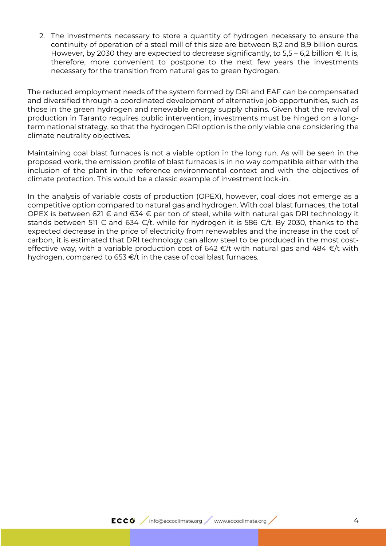2. The investments necessary to store a quantity of hydrogen necessary to ensure the continuity of operation of a steel mill of this size are between 8,2 and 8,9 billion euros. However, by 2030 they are expected to decrease significantly, to  $5.5 - 6.2$  billion  $\epsilon$ . It is, therefore, more convenient to postpone to the next few years the investments necessary for the transition from natural gas to green hydrogen.

The reduced employment needs of the system formed by DRI and EAF can be compensated and diversified through a coordinated development of alternative job opportunities, such as those in the green hydrogen and renewable energy supply chains. Given that the revival of production in Taranto requires public intervention, investments must be hinged on a longterm national strategy, so that the hydrogen DRI option is the only viable one considering the climate neutrality objectives.

Maintaining coal blast furnaces is not a viable option in the long run. As will be seen in the proposed work, the emission profile of blast furnaces is in no way compatible either with the inclusion of the plant in the reference environmental context and with the objectives of climate protection. This would be a classic example of investment lock-in.

In the analysis of variable costs of production (OPEX), however, coal does not emerge as a competitive option compared to natural gas and hydrogen. With coal blast furnaces, the total OPEX is between 621 € and 634 € per ton of steel, while with natural gas DRI technology it stands between 511  $\epsilon$  and 634  $\epsilon/t$ , while for hydrogen it is 586  $\epsilon/t$ . By 2030, thanks to the expected decrease in the price of electricity from renewables and the increase in the cost of carbon, it is estimated that DRI technology can allow steel to be produced in the most costeffective way, with a variable production cost of 642  $\epsilon/t$  with natural gas and 484  $\epsilon/t$  with hydrogen, compared to 653 €/t in the case of coal blast furnaces.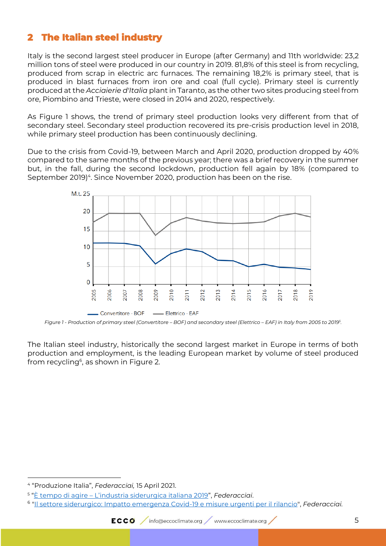# <span id="page-4-0"></span>**2 The Italian steel industry**

Italy is the second largest steel producer in Europe (after Germany) and 11th worldwide: 23,2 million tons of steel were produced in our country in 2019. 81,8% of this steel is from recycling, produced from scrap in electric arc furnaces. The remaining 18,2% is primary steel, that is produced in blast furnaces from iron ore and coal (full cycle). Primary steel is currently produced at the *Acciaierie d'Italia* plant in Taranto, as the other two sites producing steel from ore, Piombino and Trieste, were closed in 2014 and 2020, respectively.

As [Figure 1](#page-4-1) shows, the trend of primary steel production looks very different from that of secondary steel. Secondary steel production recovered its pre-crisis production level in 2018, while primary steel production has been continuously declining.

Due to the crisis from Covid-19, between March and April 2020, production dropped by 40% compared to the same months of the previous year; there was a brief recovery in the summer but, in the fall, during the second lockdown, production fell again by 18% (compared to September 2019)<sup>4</sup>. Since November 2020, production has been on the rise.



<span id="page-4-1"></span>*Figure 1 - Production of primary steel (Convertitore – BOF) and secondary steel (Elettrico – EAF) in Italy from 2005 to 2019<sup>5</sup> .*

The Italian steel industry, historically the second largest market in Europe in terms of both production and employment, is the leading European market by volume of steel produced from recycling<sup>6</sup>, as shown in Figure 2.

<sup>4</sup> "Produzione Italia", *Federacciai,* 15 April 2021.

<sup>5</sup> "È tempo di agire – [L'industria siderurgica italiana 2019"](http://federacciai.it/pubblicazioni-varie/), *Federacciai*.

<sup>6</sup> ["Il settore siderurgico: Impatto emergenza Covid-19 e misure urgenti per il rilancio"](https://www.senato.it/application/xmanager/projects/leg18/attachments/documento_evento_procedura_commissione/files/000/120/001/2020_05_07_Federacciai.pdf), *Federacciai.*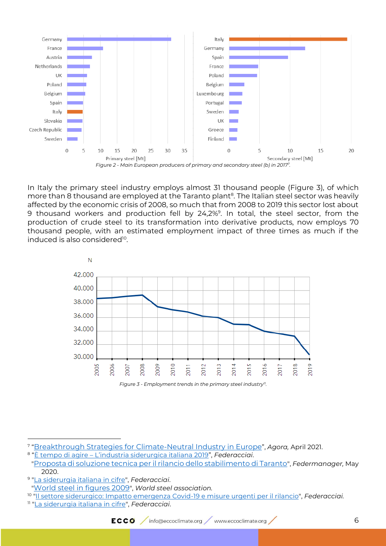

<span id="page-5-0"></span>In Italy the primary steel industry employs almost 31 thousand people [\(Figure 3\)](#page-5-1), of which more than 8 thousand are employed at the Taranto plant $^{\rm 8}$ . The Italian steel sector was heavily affected by the economic crisis of 2008, so much that from 2008 to 2019 this sector lost about 9 thousand workers and production fell by 24,2%<sup>9</sup>. In total, the steel sector, from the production of crude steel to its transformation into derivative products, now employs 70 thousand people, with an estimated employment impact of three times as much if the induced is also considered<sup>10</sup>.



*Figure 3 - Employment trends in the primary steel industry<sup>11</sup> .*

<span id="page-5-1"></span><sup>7</sup> "[Breakthrough Strategies for Climate-Neutral Industry in Europe](https://www.agora-energiewende.de/en/publications/breakthrough-strategies-for-climate-neutral-industry-in-europe-summary/)", *Agora,* April 2021.

<sup>8</sup> "È tempo di agire – [L'industria siderurgica italiana 2019"](http://federacciai.it/pubblicazioni-varie/), *Federacciai*.

<sup>&</sup>quot;[Proposta di soluzione tecnica per il rilancio dello stabilimento di Taranto](https://www.federmanager.it/pubblicazione/ex-ilva-proposta-di-soluzione-tecnica-per-il-rilancio-dello-stabilimento-di-taranto/)", *Federmanager,* May 2020.

<sup>9</sup> ["La siderurgia italiana in cifre"](http://federacciai.it/pubblicazioni-varie/), *Federacciai*.

<sup>&</sup>quot;[World steel in figures 2009](https://www.worldsteel.org/en/dam/jcr:3149d11c-4e94-4aa6-815b-6547b33423b1/World%2520Steel%2520in%2520Figures%25202009.pdf)", *World steel association.*

<sup>10</sup> ["Il settore siderurgico: Impatto emergenza Covid-19 e misure urgenti per il rilancio"](https://www.senato.it/application/xmanager/projects/leg18/attachments/documento_evento_procedura_commissione/files/000/120/001/2020_05_07_Federacciai.pdf), *Federacciai.*

<sup>11</sup> ["La siderurgia italiana in cifre"](http://federacciai.it/pubblicazioni-varie/), *Federacciai*.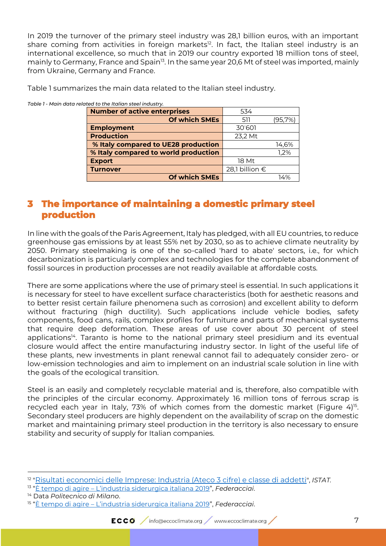In 2019 the turnover of the primary steel industry was 28,1 billion euros, with an important share coming from activities in foreign markets<sup>12</sup>. In fact, the Italian steel industry is an international excellence, so much that in 2019 our country exported 18 million tons of steel, mainly to Germany, France and Spain<sup>is</sup>. In the same year 20,6 Mt of steel was imported, mainly from Ukraine, Germany and France.

| <b>Number of active enterprises</b>  | 534            |         |
|--------------------------------------|----------------|---------|
| <b>Of which SMEs</b>                 | 511            | (95,7%) |
| <b>Employment</b>                    | 30'601         |         |
| <b>Production</b>                    | 23,2 Mt        |         |
| % Italy compared to UE28 production  |                | 14,6%   |
| % Italy compared to world production |                | 1,2%    |
| <b>Export</b>                        | 18 Mt          |         |
| <b>Turnover</b>                      | 28,1 billion € |         |
| Of which SMEs                        |                | 14%     |

[Table 1](#page-6-1) summarizes the main data related to the Italian steel industry.

<span id="page-6-1"></span>*Table 1 - Main data related to the Italian steel industry.* 

#### <span id="page-6-0"></span>**3 The importance of maintaining a domestic primary steel production**

In line with the goals of the Paris Agreement, Italy has pledged, with all EU countries, to reduce greenhouse gas emissions by at least 55% net by 2030, so as to achieve climate neutrality by 2050. Primary steelmaking is one of the so-called 'hard to abate' sectors, i.e., for which decarbonization is particularly complex and technologies for the complete abandonment of fossil sources in production processes are not readily available at affordable costs.

There are some applications where the use of primary steel is essential. In such applications it is necessary for steel to have excellent surface characteristics (both for aesthetic reasons and to better resist certain failure phenomena such as corrosion) and excellent ability to deform without fracturing (high ductility). Such applications include vehicle bodies, safety components, food cans, rails, complex profiles for furniture and parts of mechanical systems that require deep deformation. These areas of use cover about 30 percent of steel applications<sup>14</sup>. Taranto is home to the national primary steel presidium and its eventual closure would affect the entire manufacturing industry sector. In light of the useful life of these plants, new investments in plant renewal cannot fail to adequately consider zero- or low-emission technologies and aim to implement on an industrial scale solution in line with the goals of the ecological transition.

Steel is an easily and completely recyclable material and is, therefore, also compatible with the principles of the circular economy. Approximately 16 million tons of ferrous scrap is recycled each year in Italy, 73% of which comes from the domestic market [\(Figure 4\)](#page-7-1)<sup>15</sup>. Secondary steel producers are highly dependent on the availability of scrap on the domestic market and maintaining primary steel production in the territory is also necessary to ensure stability and security of supply for Italian companies.

<sup>12</sup> "[Risultati economici delle Imprese: Industria \(Ateco 3 cifre\) e classe di addetti](http://dati.istat.it/Index.aspx?DataSetCode=DICA_ASIAUE1P)", *ISTAT.* 

<sup>13</sup> "È tempo di agire – [L'industria siderurgica italiana 2019"](http://federacciai.it/pubblicazioni-varie/), *Federacciai*.

<sup>14</sup> Data *Politecnico di Milano*.

<sup>15</sup> "È tempo di agire – [L'industria siderurgica italiana 2019"](http://federacciai.it/pubblicazioni-varie/), *Federacciai*.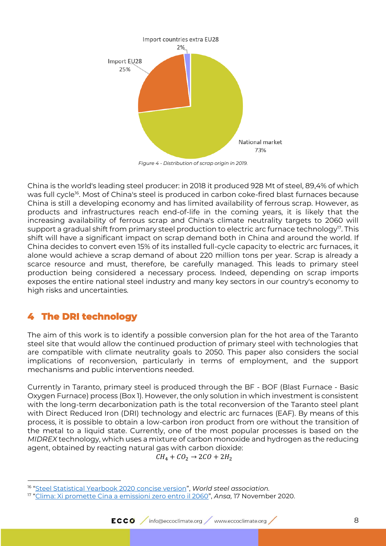

*Figure 4 - Distribution of scrap origin in 2019.*

<span id="page-7-1"></span>China is the world's leading steel producer: in 2018 it produced 928 Mt of steel, 89,4% of which was full cycle<sup>16</sup>. Most of China's steel is produced in carbon coke-fired blast furnaces because China is still a developing economy and has limited availability of ferrous scrap. However, as products and infrastructures reach end-of-life in the coming years, it is likely that the increasing availability of ferrous scrap and China's climate neutrality targets to 2060 will support a gradual shift from primary steel production to electric arc furnace technology $^{\prime\prime}$ . This shift will have a significant impact on scrap demand both in China and around the world. If China decides to convert even 15% of its installed full-cycle capacity to electric arc furnaces, it alone would achieve a scrap demand of about 220 million tons per year. Scrap is already a scarce resource and must, therefore, be carefully managed. This leads to primary steel production being considered a necessary process. Indeed, depending on scrap imports exposes the entire national steel industry and many key sectors in our country's economy to high risks and uncertainties.

# <span id="page-7-0"></span>**4 The DRI technology**

The aim of this work is to identify a possible conversion plan for the hot area of the Taranto steel site that would allow the continued production of primary steel with technologies that are compatible with climate neutrality goals to 2050. This paper also considers the social implications of reconversion, particularly in terms of employment, and the support mechanisms and public interventions needed.

Currently in Taranto, primary steel is produced through the BF - BOF (Blast Furnace - Basic Oxygen Furnace) process [\(Box 1\)](#page-9-0). However, the only solution in which investment is consistent with the long-term decarbonization path is the total reconversion of the Taranto steel plant with Direct Reduced Iron (DRI) technology and electric arc furnaces (EAF). By means of this process, it is possible to obtain a low-carbon iron product from ore without the transition of the metal to a liquid state. Currently, one of the most popular processes is based on the *MIDREX* technology, which uses a mixture of carbon monoxide and hydrogen as the reducing agent, obtained by reacting natural gas with carbon dioxide:

 $CH_4 + CO_2 \rightarrow 2CO + 2H_2$ 

<sup>16</sup> "[Steel Statistical Yearbook 2020 concise version](https://www.worldsteel.org/en/dam/jcr:5001dac8-0083-46f3-aadd-35aa357acbcc/Steel%2520Statistical%2520Yearbook%25202020%2520%2528concise%2520version%2529.pdf)", *World steel association.*

<sup>17</sup> "[Clima: Xi promette Cina a emissioni zero entro il 2060](https://www.ansa.it/canale_ambiente/notizie/clima/2020/11/17/clima-xi-promette-cina-a-emissioni-zero-entro-2060_dde47cea-4a09-4359-90d6-cb16f2b75d2e.html)", *Ansa,* 17 November 2020.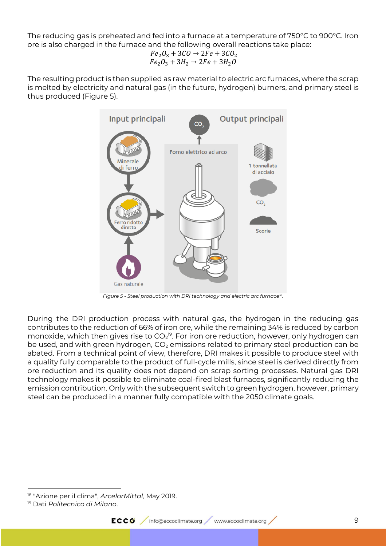The reducing gas is preheated and fed into a furnace at a temperature of 750°C to 900°C. Iron ore is also charged in the furnace and the following overall reactions take place:

$$
\begin{array}{l} Fe_2O_3+3CO\rightarrow 2Fe+3CO_2\\ Fe_2O_3+3H_2\rightarrow 2Fe+3H_2O \end{array}
$$

The resulting product is then supplied as raw material to electric arc furnaces, where the scrap is melted by electricity and natural gas (in the future, hydrogen) burners, and primary steel is thus produced [\(Figure 5\)](#page-8-0).



*Figure 5 - Steel production with DRI technology and electric arc furnace<sup>18</sup> .*

<span id="page-8-0"></span>During the DRI production process with natural gas, the hydrogen in the reducing gas contributes to the reduction of 66% of iron ore, while the remaining 34% is reduced by carbon monoxide, which then gives rise to CO $_2$ <sup>19</sup>. For iron ore reduction, however, only hydrogen can be used, and with green hydrogen,  $CO<sub>2</sub>$  emissions related to primary steel production can be abated. From a technical point of view, therefore, DRI makes it possible to produce steel with a quality fully comparable to the product of full-cycle mills, since steel is derived directly from ore reduction and its quality does not depend on scrap sorting processes. Natural gas DRI technology makes it possible to eliminate coal-fired blast furnaces, significantly reducing the emission contribution. Only with the subsequent switch to green hydrogen, however, primary steel can be produced in a manner fully compatible with the 2050 climate goals.

<sup>18</sup> "Azione per il clima", *ArcelorMittal,* May 2019.

<sup>19</sup> Dati *Politecnico di Milano*.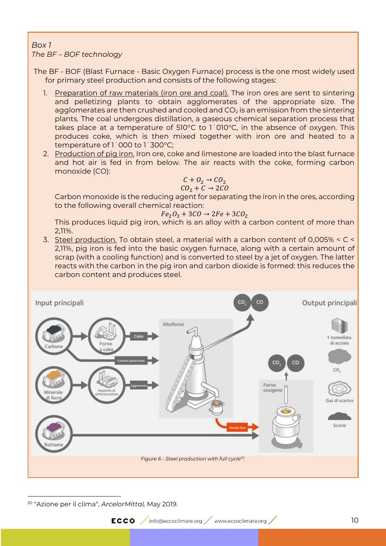#### <span id="page-9-0"></span>*Box 1 The BF – BOF technology*

The BF - BOF (Blast Furnace - Basic Oxygen Furnace) process is the one most widely used for primary steel production and consists of the following stages:

- 1. Preparation of raw materials (iron ore and coal). The iron ores are sent to sintering and pelletizing plants to obtain agglomerates of the appropriate size. The agglomerates are then crushed and cooled and  $CO<sub>2</sub>$  is an emission from the sintering plants. The coal undergoes distillation, a gaseous chemical separation process that takes place at a temperature of 510°C to 1˙010°C, in the absence of oxygen. This produces coke, which is then mixed together with iron ore and heated to a temperature of 1˙000 to 1˙300°C;
- 2. Production of pig iron. Iron ore, coke and limestone are loaded into the blast furnace and hot air is fed in from below. The air reacts with the coke, forming carbon monoxide (CO):

$$
\begin{array}{c} C + O_2 \rightarrow CO_2 \\ CO_2 + C \rightarrow 2CO \end{array}
$$

Carbon monoxide is the reducing agent for separating the iron in the ores, according to the following overall chemical reaction:

$$
Fe_2O_3 + 3CO \rightarrow 2Fe + 3CO_2
$$

This produces liquid pig iron, which is an alloy with a carbon content of more than 2,11%.

3. Steel production. To obtain steel, a material with a carbon content of 0,005% < C < 2,11%, pig iron is fed into the basic oxygen furnace, along with a certain amount of scrap (with a cooling function) and is converted to steel by a jet of oxygen. The latter reacts with the carbon in the pig iron and carbon dioxide is formed: this reduces the carbon content and produces steel.



<sup>20</sup> "Azione per il clima", *ArcelorMittal,* May 2019.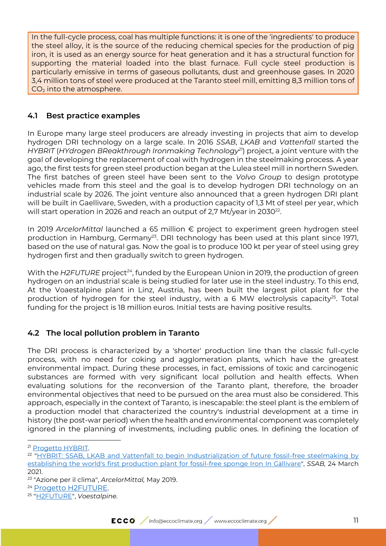In the full-cycle process, coal has multiple functions: it is one of the 'ingredients' to produce the steel alloy, it is the source of the reducing chemical species for the production of pig iron, it is used as an energy source for heat generation and it has a structural function for supporting the material loaded into the blast furnace. Full cycle steel production is particularly emissive in terms of gaseous pollutants, dust and greenhouse gases. In 2020 3,4 million tons of steel were produced at the Taranto steel mill, emitting 8,3 million tons of  $CO<sub>2</sub>$  into the atmosphere.

#### <span id="page-10-0"></span>**4.1 Best practice examples**

In Europe many large steel producers are already investing in projects that aim to develop hydrogen DRI technology on a large scale. In 2016 *SSAB*, *LKAB* and *Vattenfall* started the *HYBRIT* (*HYdrogen BReakthrough Ironmaking Technology<sup>21</sup>*) project, a joint venture with the goal of developing the replacement of coal with hydrogen in the steelmaking process. A year ago, the first tests for green steel production began at the Lulea steel mill in northern Sweden. The first batches of green steel have been sent to the *Volvo Group* to design prototype vehicles made from this steel and the goal is to develop hydrogen DRI technology on an industrial scale by 2026. The joint venture also announced that a green hydrogen DRI plant will be built in Gaellivare, Sweden, with a production capacity of 1,3 Mt of steel per year, which will start operation in 2026 and reach an output of 2,7 Mt/year in 2030 $^{22}\!.$ 

In 2019 *ArcelorMittal* launched a 65 million € project to experiment green hydrogen steel production in Hamburg, Germany<sup>23</sup>. DRI technology has been used at this plant since 1971, based on the use of natural gas. Now the goal is to produce 100 kt per year of steel using grey hydrogen first and then gradually switch to green hydrogen.

With the *H2FUTURE* project*<sup>24</sup>* , funded by the European Union in 2019, the production of green hydrogen on an industrial scale is being studied for later use in the steel industry. To this end, At the Voaestalpine plant in Linz, Austria, has been built the largest pilot plant for the production of hydrogen for the steel industry, with a 6 MW electrolysis capacity<sup>25</sup>. Total funding for the project is 18 million euros. Initial tests are having positive results.

#### <span id="page-10-1"></span>**4.2 The local pollution problem in Taranto**

The DRI process is characterized by a 'shorter' production line than the classic full-cycle process, with no need for coking and agglomeration plants, which have the greatest environmental impact. During these processes, in fact, emissions of toxic and carcinogenic substances are formed with very significant local pollution and health effects. When evaluating solutions for the reconversion of the Taranto plant, therefore, the broader environmental objectives that need to be pursued on the area must also be considered. This approach, especially in the context of Taranto, is inescapable: the steel plant is the emblem of a production model that characterized the country's industrial development at a time in history (the post-war period) when the health and environmental component was completely ignored in the planning of investments, including public ones. In defining the location of

<sup>21</sup> [Progetto HYBRIT.](https://www.hybritdevelopment.se/en/)

<sup>&</sup>lt;sup>22</sup> "HYBRIT: SSAB, LKAB and Vattenfall to begin Industrialization of future fossil-free steelmaking by [establishing the world's first production plant for fossil-free sponge Iron In G](https://www.ssab.it/novit%C3%A0/2021/03/hybrit-ssab-lkab-and-vattenfall-to-begin-industrialization-of-future-fossilfree-steelmaking-by-estab)ällivare", *SSAB,* 24 March 2021.

<sup>23</sup> "Azione per il clima", *ArcelorMittal,* May 2019.

<sup>24</sup> [Progetto H2FUTURE](https://www.h2future-project.eu/).

<sup>25</sup> ["H2FUTURE"](https://www.voestalpine.com/greentecsteel/en/breakthrough-technologies/), *Voestalpine.*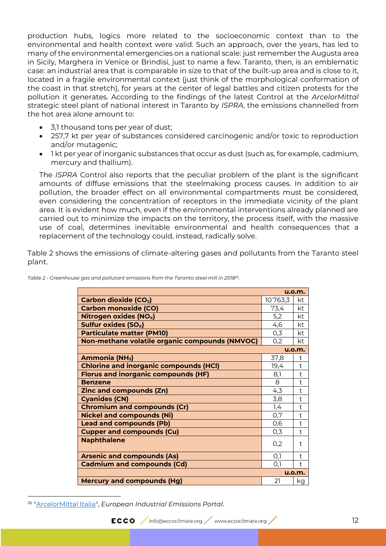production hubs, logics more related to the socioeconomic context than to the environmental and health context were valid. Such an approach, over the years, has led to many of the environmental emergencies on a national scale: just remember the Augusta area in Sicily, Marghera in Venice or Brindisi, just to name a few. Taranto, then, is an emblematic case: an industrial area that is comparable in size to that of the built-up area and is close to it, located in a fragile environmental context (just think of the morphological conformation of the coast in that stretch), for years at the center of legal battles and citizen protests for the pollution it generates. According to the findings of the latest Control at the *ArcelorMittal* strategic steel plant of national interest in Taranto by *ISPRA*, the emissions channelled from the hot area alone amount to:

- 3,1 thousand tons per year of dust;
- 257,7 kt per year of substances considered carcinogenic and/or toxic to reproduction and/or mutagenic;
- 1 kt per year of inorganic substances that occur as dust (such as, for example, cadmium, mercury and thallium).

The *ISPRA* Control also reports that the peculiar problem of the plant is the significant amounts of diffuse emissions that the steelmaking process causes. In addition to air pollution, the broader effect on all environmental compartments must be considered, even considering the concentration of receptors in the immediate vicinity of the plant area. It is evident how much, even if the environmental interventions already planned are carried out to minimize the impacts on the territory, the process itself, with the massive use of coal, determines inevitable environmental and health consequences that a replacement of the technology could, instead, radically solve.

[Table 2](#page-11-0) shows the emissions of climate-altering gases and pollutants from the Taranto steel plant.

|                                                |          | u.o.m.        |
|------------------------------------------------|----------|---------------|
| <b>Carbon dioxide (CO2)</b>                    | 10'763,3 | kt            |
| <b>Carbon monoxide (CO)</b>                    | 73,4     | kt            |
| Nitrogen oxides (NO <sub>x</sub> )             | 5,2      | kt            |
| Sulfur oxides (SO <sub>x</sub> )               | 4,6      | kt            |
| <b>Particulate matter (PM10)</b>               | 0,3      | kt            |
| Non-methane volatile organic compounds (NMVOC) | 0,2      | kt            |
|                                                |          | <b>u.o.m.</b> |
| Ammonia (NH <sub>3</sub> )                     | 37,8     | t             |
| <b>Chlorine and inorganic compounds (HCI)</b>  | 19,4     | $†$           |
| <b>Florus and inorganic compounds (HF)</b>     | 8,1      | $†$           |
| <b>Benzene</b>                                 | 8        | $\ddagger$    |
| <b>Zinc and compounds (Zn)</b>                 | 4,3      | $†$           |
| <b>Cyanides (CN)</b>                           | 3,8      | $†$           |
| <b>Chromium and compounds (Cr)</b>             | 1,4      | t             |
| <b>Nickel and compounds (Ni)</b>               | 0,7      | t             |
| <b>Lead and compounds (Pb)</b>                 | 0,6      | $†$           |
| <b>Cupper and compounds (Cu)</b>               | 0,3      | $\ddagger$    |
| <b>Naphthalene</b>                             | 0,2      | t             |
| <b>Arsenic and compounds (As)</b>              | O,1      | t             |
| <b>Cadmium and compounds (Cd)</b>              | O,1      | t             |
|                                                |          | u.o.m.        |
| <b>Mercury and compounds (Hg)</b>              | 21       | kg            |

<span id="page-11-0"></span>*Table 2 - Greenhouse gas and pollutant emissions from the Taranto steel mill in 2018<sup>26</sup> .*

<sup>26</sup> ["ArcelorMittal Italia"](https://industry.eea.europa.eu/industrial-site/environmental-information?siteInspireId=IT.CAED%2F741231003.SITE&siteName=ArcelorMittal%20Italia&siteReportingYear=2018), *European Industrial Emissions Portal*.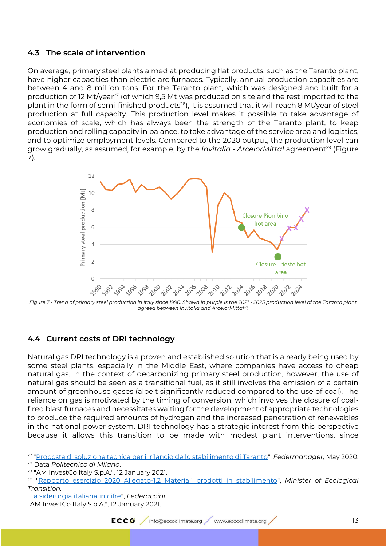#### <span id="page-12-0"></span>**4.3 The scale of intervention**

On average, primary steel plants aimed at producing flat products, such as the Taranto plant, have higher capacities than electric arc furnaces. Typically, annual production capacities are between 4 and 8 million tons. For the Taranto plant, which was designed and built for a production of 12 Mt/year<sup>27</sup> (of which 9,5 Mt was produced on site and the rest imported to the plant in the form of semi-finished products<sup>28</sup>), it is assumed that it will reach 8 Mt/year of steel production at full capacity. This production level makes it possible to take advantage of economies of scale, which has always been the strength of the Taranto plant, to keep production and rolling capacity in balance, to take advantage of the service area and logistics, and to optimize employment levels. Compared to the 2020 output, the production level can grow gradually, as assumed, for example, by the *Invitalia - ArcelorMittal* agreement<sup>29</sup> [\(Figure](#page-12-2)  [7\)](#page-12-2).



<span id="page-12-2"></span>*Figure 7 - Trend of primary steel production in Italy since 1990. Shown in purple is the 2021 - 2025 production level of the Taranto plant agreed between Invitalia and ArcelorMittal<sup>30</sup> .*

#### <span id="page-12-1"></span>**4.4 Current costs of DRI technology**

Natural gas DRI technology is a proven and established solution that is already being used by some steel plants, especially in the Middle East, where companies have access to cheap natural gas. In the context of decarbonizing primary steel production, however, the use of natural gas should be seen as a transitional fuel, as it still involves the emission of a certain amount of greenhouse gases (albeit significantly reduced compared to the use of coal). The reliance on gas is motivated by the timing of conversion, which involves the closure of coalfired blast furnaces and necessitates waiting for the development of appropriate technologies to produce the required amounts of hydrogen and the increased penetration of renewables in the national power system. DRI technology has a strategic interest from this perspective because it allows this transition to be made with modest plant interventions, since

<sup>27</sup> ["Proposta di soluzione tecnica per il rilancio dello stabilimento di Taranto"](https://www.federmanager.it/pubblicazione/ex-ilva-proposta-di-soluzione-tecnica-per-il-rilancio-dello-stabilimento-di-taranto/), *Federmanager,* May 2020. <sup>28</sup> Data *Politecnico di Milano*.

<sup>29</sup> "AM InvestCo Italy S.p.A.", 12 January 2021.

<sup>30</sup> ["Rapporto esercizio 2020 Allegato-1.2 Materiali prodotti in stabilimento"](https://va.minambiente.it/it-IT/Oggetti/Documentazione/2038/4338?Testo=&RaggruppamentoID=2005#form-cercaDocumentazione), *Minister of Ecological Transition.*

[<sup>&</sup>quot;La siderurgia italiana in cifre"](http://federacciai.it/pubblicazioni-varie/), *Federacciai*.

<sup>&</sup>quot;AM InvestCo Italy S.p.A.", 12 January 2021.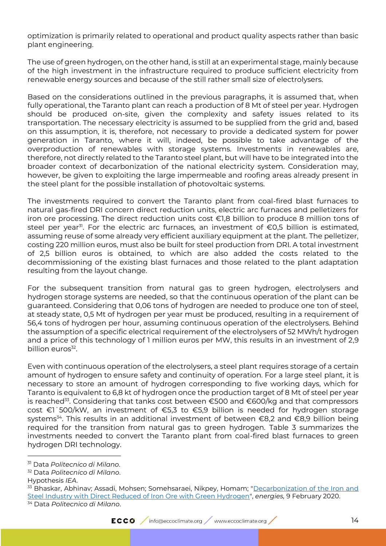optimization is primarily related to operational and product quality aspects rather than basic plant engineering.

The use of green hydrogen, on the other hand, is still at an experimental stage, mainly because of the high investment in the infrastructure required to produce sufficient electricity from renewable energy sources and because of the still rather small size of electrolysers.

Based on the considerations outlined in the previous paragraphs, it is assumed that, when fully operational, the Taranto plant can reach a production of 8 Mt of steel per year. Hydrogen should be produced on-site, given the complexity and safety issues related to its transportation. The necessary electricity is assumed to be supplied from the grid and, based on this assumption, it is, therefore, not necessary to provide a dedicated system for power generation in Taranto, where it will, indeed, be possible to take advantage of the overproduction of renewables with storage systems. Investments in renewables are, therefore, not directly related to the Taranto steel plant, but will have to be integrated into the broader context of decarbonization of the national electricity system. Consideration may, however, be given to exploiting the large impermeable and roofing areas already present in the steel plant for the possible installation of photovoltaic systems.

The investments required to convert the Taranto plant from coal-fired blast furnaces to natural gas-fired DRI concern direct reduction units, electric arc furnaces and pelletizers for iron ore processing. The direct reduction units cost €1,8 billion to produce 8 million tons of steel per year<sup>31</sup>. For the electric arc furnaces, an investment of  $\epsilon$ 0,5 billion is estimated, assuming reuse of some already very efficient auxiliary equipment at the plant. The pelletizer, costing 220 million euros, must also be built for steel production from DRI. A total investment of 2,5 billion euros is obtained, to which are also added the costs related to the decommissioning of the existing blast furnaces and those related to the plant adaptation resulting from the layout change.

For the subsequent transition from natural gas to green hydrogen, electrolysers and hydrogen storage systems are needed, so that the continuous operation of the plant can be guaranteed. Considering that 0,06 tons of hydrogen are needed to produce one ton of steel, at steady state, 0,5 Mt of hydrogen per year must be produced, resulting in a requirement of 56,4 tons of hydrogen per hour, assuming continuous operation of the electrolysers. Behind the assumption of a specific electrical requirement of the electrolysers of 52 MWh/t hydrogen and a price of this technology of 1 million euros per MW, this results in an investment of 2,9 billion euros<sup>32</sup>.

Even with continuous operation of the electrolysers, a steel plant requires storage of a certain amount of hydrogen to ensure safety and continuity of operation. For a large steel plant, it is necessary to store an amount of hydrogen corresponding to five working days, which for Taranto is equivalent to 6,8 kt of hydrogen once the production target of 8 Mt of steel per year is reached<sup>33</sup>. Considering that tanks cost between €500 and €600/kg and that compressors cost €1˙500/kW, an investment of €5,3 to €5,9 billion is needed for hydrogen storage systems<sup>34</sup>. This results in an additional investment of between €8,2 and €8,9 billion being required for the transition from natural gas to green hydrogen. [Table 3](#page-14-0) summarizes the investments needed to convert the Taranto plant from coal-fired blast furnaces to green hydrogen DRI technology.

<sup>31</sup> Data *Politecnico di Milano*.

<sup>32</sup> Data *Politecnico di Milano*.

Hypothesis *IEA*.

<sup>&</sup>lt;sup>33</sup> Bhaskar, Abhinav; Assadi, Mohsen; Somehsaraei, Nikpey, Homam; "Decarbonization of the Iron and [Steel Industry with Direct Reduced of Iron Ore with Green Hydrogen"](https://www.mdpi.com/1996-1073/13/3/758), *energies,* 9 February 2020. <sup>34</sup> Data *Politecnico di Milano*.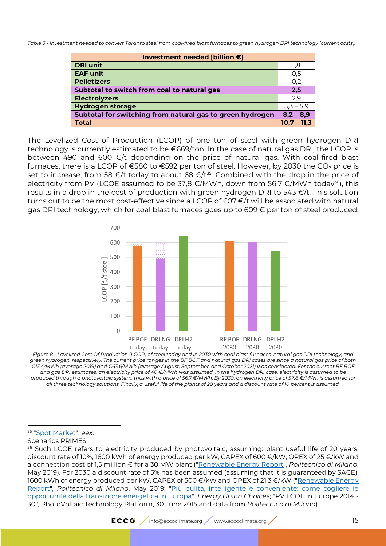<span id="page-14-0"></span>*Table 3 - Investment needed to convert Taranto steel from coal-fired blast furnaces to green hydrogen DRI technology (current costs).*

| Investment needed [billion €]                             |               |  |  |
|-----------------------------------------------------------|---------------|--|--|
| <b>DRI unit</b>                                           | 1,8           |  |  |
| <b>EAF unit</b>                                           | 0,5           |  |  |
| <b>Pelletizers</b>                                        | 0,2           |  |  |
| Subtotal to switch from coal to natural gas               | 2,5           |  |  |
| <b>Electrolyzers</b>                                      | 2,9           |  |  |
| <b>Hydrogen storage</b>                                   | $5,3 - 5,9$   |  |  |
| Subtotal for switching from natural gas to green hydrogen | $8,2 - 8,9$   |  |  |
| <b>Total</b>                                              | $10,7 - 11,3$ |  |  |

The Levelized Cost of Production (LCOP) of one ton of steel with green hydrogen DRI technology is currently estimated to be €669/ton. In the case of natural gas DRI, the LCOP is between 490 and 600 €/t depending on the price of natural gas. With coal-fired blast furnaces, there is a LCOP of  $\epsilon$ 580 to  $\epsilon$ 592 per ton of steel. However, by 2030 the CO<sub>2</sub> price is set to increase, from 58  $\epsilon/t$  today to about 68  $\epsilon/t^{35}$ . Combined with the drop in the price of electricity from PV (LCOE assumed to be 37,8  $\epsilon$ /MWh, down from 56,7  $\epsilon$ /MWh today<sup>36</sup>), this results in a drop in the cost of production with green hydrogen DRI to  $543 \in L$ . This solution turns out to be the most cost-effective since a LCOP of 607 €/t will be associated with natural gas DRI technology, which for coal blast furnaces goes up to 609 € per ton of steel produced.



*Figure 8 - Levelized Cost Of Production (LCOP) of steel today and in 2030 with coal blast furnaces, natural gas DRI technology, and green hydrogen, respectively. The current price ranges in the BF BOF and natural gas DRI cases are since a natural gas price of both €15.4/MWh (average 2019) and €63.6/MWh (average August, September, and October 2021) was considered. For the current BF BOF and gas DRI estimates, an electricity price of 40 €/MWh was assumed. In the hydrogen DRI case, electricity is assumed to be produced through a photovoltaic system, thus with a price of 56.7 €/MWh. By 2030, an electricity price of 37.8 €/MWh is assumed for all three technology solutions. Finally, a useful life of the plants of 20 years and a discount rate of 10 percent is assumed.*

Scenarios PRIMES.

<sup>35</sup> ["Spot Market"](https://www.eex.com/en/market-data/environmental-markets/spot-market), *eex*.

<sup>&</sup>lt;sup>36</sup> Such LCOE refers to electricity produced by photovoltaic, assuming: plant useful life of 20 years, discount rate of 10%, 1600 kWh of energy produced per kW, CAPEX of 600 €/kW, OPEX of 25 €/kW and a connection cost of 1,5 million € for a 30 MW plant (["Renewable Energy Report"](https://www.energystrategy.it/osservatorio-di-ricerca/renewable-energy/), *Politecnico di Milano*, May 2019). For 2030 a discount rate of 5% has been assumed (assuming that it is guaranteed by SACE), 1600 kWh of energy produced per kW, CAPEX of 500 €/kW and OPEX of 21,3 €/kW (["Renewable Energy](https://www.energystrategy.it/osservatorio-di-ricerca/renewable-energy/)  [Report"](https://www.energystrategy.it/osservatorio-di-ricerca/renewable-energy/), *Politecnico di Milano*, May 2019; ["Più pulita, intelligente e conveniente: come cogliere le](https://www.iai.it/it/pubblicazioni/piu-pulita-intelligente-e-conveniente)  [opportunità della transizione energetica in Europa"](https://www.iai.it/it/pubblicazioni/piu-pulita-intelligente-e-conveniente), *Energy Union Choices*; "PV LCOE in Europe 2014 - 30", PhotoVoltaic Technology Platform, 30 June 2015 and data from *Politecnico di Milano*).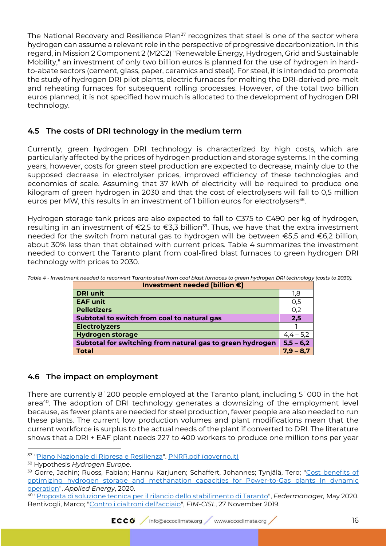The National Recovery and Resilience Plan<sup>37</sup> recognizes that steel is one of the sector where hydrogen can assume a relevant role in the perspective of progressive decarbonization. In this regard, in Mission 2 Component 2 (M2C2) "Renewable Energy, Hydrogen, Grid and Sustainable Mobility," an investment of only two billion euros is planned for the use of hydrogen in hardto-abate sectors (cement, glass, paper, ceramics and steel). For steel, it is intended to promote the study of hydrogen DRI pilot plants, electric furnaces for melting the DRI-derived pre-melt and reheating furnaces for subsequent rolling processes. However, of the total two billion euros planned, it is not specified how much is allocated to the development of hydrogen DRI technology.

#### **4.5 The costs of DRI technology in the medium term**

Currently, green hydrogen DRI technology is characterized by high costs, which are particularly affected by the prices of hydrogen production and storage systems. In the coming years, however, costs for green steel production are expected to decrease, mainly due to the supposed decrease in electrolyser prices, improved efficiency of these technologies and economies of scale. Assuming that 37 kWh of electricity will be required to produce one kilogram of green hydrogen in 2030 and that the cost of electrolysers will fall to 0,5 million euros per MW, this results in an investment of 1 billion euros for electrolysers<sup>38</sup>.

Hydrogen storage tank prices are also expected to fall to €375 to €490 per kg of hydrogen, resulting in an investment of €2,5 to €3,3 billion <sup>39</sup>. Thus, we have that the extra investment needed for the switch from natural gas to hydrogen will be between €5,5 and €6,2 billion, about 30% less than that obtained with current prices. [Table 4](#page-15-0) summarizes the investment needed to convert the Taranto plant from coal-fired blast furnaces to green hydrogen DRI technology with prices to 2030.

| Investment needed [billion €]                             |               |  |
|-----------------------------------------------------------|---------------|--|
| <b>DRI unit</b>                                           | 1,8           |  |
| <b>EAF unit</b>                                           | O,5           |  |
| <b>Pelletizers</b>                                        | 0,2           |  |
| Subtotal to switch from coal to natural gas               | 2,5           |  |
| <b>Electrolyzers</b>                                      |               |  |
| <b>Hydrogen storage</b>                                   | $4, 4 - 5, 2$ |  |
| Subtotal for switching from natural gas to green hydrogen | $5,5 - 6,2$   |  |
| <b>Total</b>                                              | $7.9 - 8.7$   |  |

<span id="page-15-0"></span>*Table 4 - Investment needed to reconvert Taranto steel from coal blast furnaces to green hydrogen DRI technology (costs to 2030).*

#### **4.6 The impact on employment**

There are currently 8˙200 people employed at the Taranto plant, including 5˙000 in the hot area<sup>40</sup>. The adoption of DRI technology generates a downsizing of the employment level because, as fewer plants are needed for steel production, fewer people are also needed to run these plants. The current low production volumes and plant modifications mean that the current workforce is surplus to the actual needs of the plant if converted to DRI. The literature shows that a DRI + EAF plant needs 227 to 400 workers to produce one million tons per year

<sup>&</sup>lt;sup>37</sup> "<u>Piano Nazionale di Ripresa e Resilienza</u>". <u>PNRR.pdf (governo.it)</u>

<sup>38</sup> Hypothesis *Hydrogen Europe*.

<sup>&</sup>lt;sup>39</sup> Gorre, Jachin; Ruoss, Fabian; Hannu Karjunen; Schaffert, Johannes; Tynjälä, Tero; "Cost benefits of [optimizing hydrogen storage and methanation capacities for Power-to-Gas plants In dynamic](https://www.sciencedirect.com/science/article/pii/S030626191931654X) [operation"](https://www.sciencedirect.com/science/article/pii/S030626191931654X), *Applied Energy*, 2020.

<sup>40</sup> ["Proposta di soluzione tecnica per il rilancio dello stabilimento di Taranto"](https://www.federmanager.it/pubblicazione/ex-ilva-proposta-di-soluzione-tecnica-per-il-rilancio-dello-stabilimento-di-taranto/), *Federmanager,* May 2020. Bentivogli, Marco; ["Contro i cialtroni dell'acciaio"](https://www.fim-cisl.it/2019/11/27/contro-i-cialtroni-dellacciaio/), *FIM-CISL*, 27 November 2019.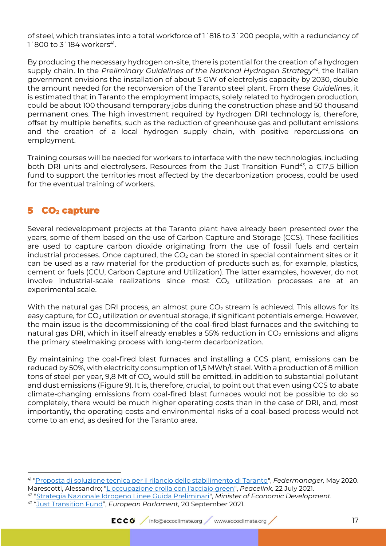of steel, which translates into a total workforce of 1˙816 to 3˙200 people, with a redundancy of  $1^{\circ}$ 800 to 3 $^{\circ}$ 184 workers $^{41}$ .

By producing the necessary hydrogen on-site, there is potential for the creation of a hydrogen supply chain. In the *Preliminary Guidelines of the National Hydrogen Strategy<sup>42</sup>, the Italian* government envisions the installation of about 5 GW of electrolysis capacity by 2030, double the amount needed for the reconversion of the Taranto steel plant. From these *Guidelines*, it is estimated that in Taranto the employment impacts, solely related to hydrogen production, could be about 100 thousand temporary jobs during the construction phase and 50 thousand permanent ones. The high investment required by hydrogen DRI technology is, therefore, offset by multiple benefits, such as the reduction of greenhouse gas and pollutant emissions and the creation of a local hydrogen supply chain, with positive repercussions on employment.

Training courses will be needed for workers to interface with the new technologies, including both DRI units and electrolysers. Resources from the Just Transition Fund*<sup>43</sup>* , a €17,5 billion fund to support the territories most affected by the decarbonization process, could be used for the eventual training of workers.

# **5 CO2 capture**

Several redevelopment projects at the Taranto plant have already been presented over the years, some of them based on the use of Carbon Capture and Storage (CCS). These facilities are used to capture carbon dioxide originating from the use of fossil fuels and certain industrial processes. Once captured, the  $CO<sub>2</sub>$  can be stored in special containment sites or it can be used as a raw material for the production of products such as, for example, plastics, cement or fuels (CCU, Carbon Capture and Utilization). The latter examples, however, do not involve industrial-scale realizations since most  $CO<sub>2</sub>$  utilization processes are at an experimental scale.

With the natural gas DRI process, an almost pure  $CO<sub>2</sub>$  stream is achieved. This allows for its easy capture, for  $CO<sub>2</sub>$  utilization or eventual storage, if significant potentials emerge. However, the main issue is the decommissioning of the coal-fired blast furnaces and the switching to natural gas DRI, which in itself already enables a 55% reduction in  $CO<sub>2</sub>$  emissions and aligns the primary steelmaking process with long-term decarbonization.

By maintaining the coal-fired blast furnaces and installing a CCS plant, emissions can be reduced by 50%, with electricity consumption of 1,5 MWh/t steel. With a production of 8 million tons of steel per year, 9,8 Mt of  $CO<sub>2</sub>$  would still be emitted, in addition to substantial pollutant and dust emissions [\(Figure 9\)](#page-17-0). It is, therefore, crucial, to point out that even using CCS to abate climate-changing emissions from coal-fired blast furnaces would not be possible to do so completely, there would be much higher operating costs than in the case of DRI, and, most importantly, the operating costs and environmental risks of a coal-based process would not come to an end, as desired for the Taranto area.

<sup>41</sup> ["Proposta di soluzione tecnica per il rilancio dello stabilimento di Taranto"](https://www.federmanager.it/pubblicazione/ex-ilva-proposta-di-soluzione-tecnica-per-il-rilancio-dello-stabilimento-di-taranto/), *Federmanager,* May 2020. Marescotti, Alessandro; ["L'occupazione crolla con l'acciaio green"](mailto:[News]%20L), *Peacelink,* 22 July 2021. 42 ["Strategia Nazionale Idrogeno Linee Guida Preliminari"](https://www.mise.gov.it/images/stories/documenti/Strategia_Nazionale_Idrogeno_Linee_guida_preliminari_nov20.pdf), *Minister of Economic Development.*  43 "[Just Transition Fund](https://www.europarl.europa.eu/thinktank/it/document.html?reference=EPRS_BRI%282020%29646180)", *European Parlament,* 20 September 2021.

ECCO / info@eccoclimate.org / www.eccoclimate.org /